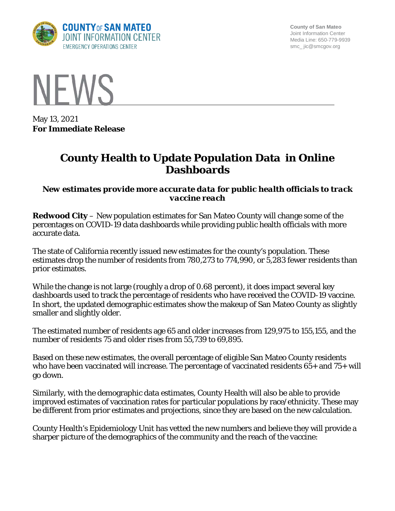

**County of San Mateo** Joint Information Center Media Line: 650-779-9939 smc\_ jic@smcgov.org



May 13, 2021 **For Immediate Release**

## **County Health to Update Population Data in Online Dashboards**

*New estimates provide more accurate data for public health officials to track vaccine reach*

**Redwood City** – New population estimates for San Mateo County will change some of the percentages on COVID-19 data dashboards while providing public health officials with more accurate data.

The state of California recently issued new estimates for the county's population. These estimates drop the number of residents from 780,273 to 774,990, or 5,283 fewer residents than prior estimates.

While the change is not large (roughly a drop of 0.68 percent), it does impact several key dashboards used to track the percentage of residents who have received the COVID-19 vaccine. In short, the updated demographic estimates show the makeup of San Mateo County as slightly smaller and slightly older.

The estimated number of residents age 65 and older increases from 129,975 to 155,155, and the number of residents 75 and older rises from 55,739 to 69,895.

Based on these new estimates, the overall percentage of eligible San Mateo County residents who have been vaccinated will increase. The percentage of vaccinated residents  $65+$  and  $75+$  will go down.

Similarly, with the demographic data estimates, County Health will also be able to provide improved estimates of vaccination rates for particular populations by race/ethnicity. These may be different from prior estimates and projections, since they are based on the new calculation.

County Health's Epidemiology Unit has vetted the new numbers and believe they will provide a sharper picture of the demographics of the community and the reach of the vaccine: